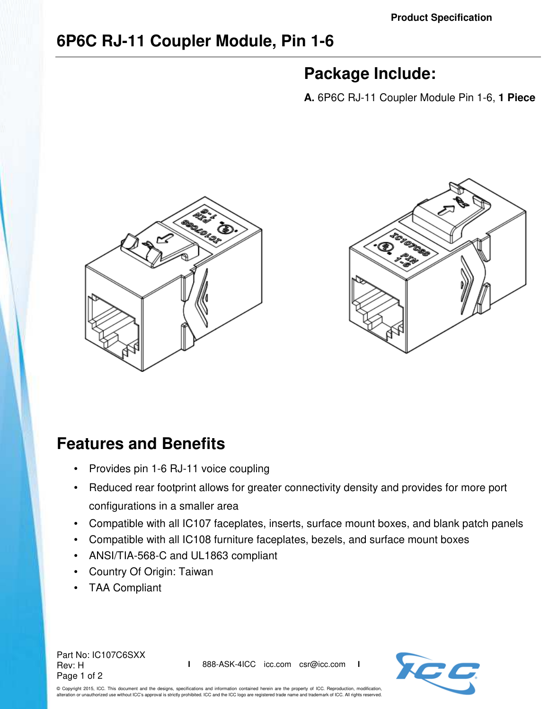# **6P6C RJ-11 Coupler Module, Pin 1-6**

# **Package Include:**

**A.** 6P6C RJ-11 Coupler Module Pin 1-6, **1 Piece**





# **Features and Benefits**

- Provides pin 1-6 RJ-11 voice coupling
- Reduced rear footprint allows for greater connectivity density and provides for more port configurations in a smaller area
- Compatible with all IC107 faceplates, inserts, surface mount boxes, and blank patch panels
- Compatible with all IC108 furniture faceplates, bezels, and surface mount boxes
- ANSI/TIA-568-C and UL1863 compliant
- Country Of Origin: Taiwan
- TAA Compliant

Part No: IC107C6SXX Rev: H Page 1 of 2

**I** 888-ASK-4ICC icc.com csr@icc.com **I**



© Copyright 2015, ICC. This document and the designs, specifications and information contained herein are the property of ICC. Reproduction, modification, alteration or unauthorized use without ICC's approval is strictly prohibited. ICC and the ICC logo are registered trade name and trademark of ICC. All rights reserved.